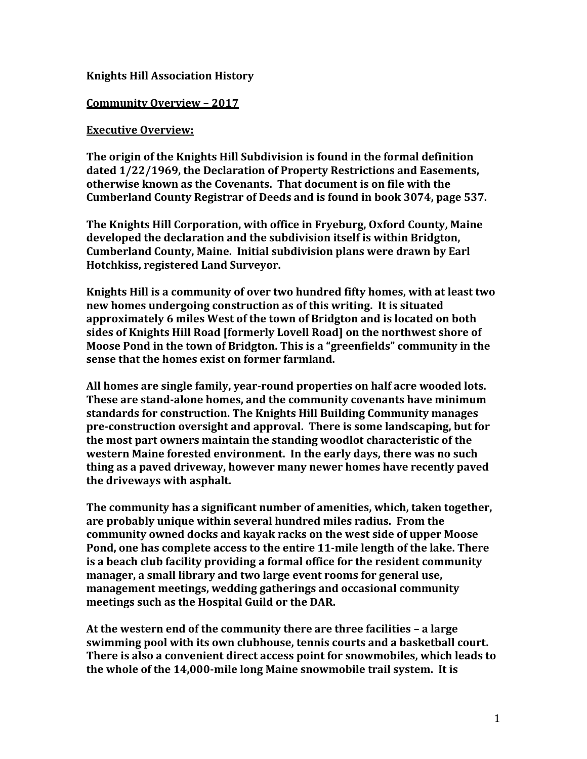#### **Knights Hill Association History**

#### **Community Overview – 2017**

#### **Executive Overview:**

**The origin of the Knights Hill Subdivision is found in the formal definition dated 1/22/1969, the Declaration of Property Restrictions and Easements, otherwise known as the Covenants. That document is on file with the Cumberland County Registrar of Deeds and is found in book 3074, page 537.**

**The Knights Hill Corporation, with office in Fryeburg, Oxford County, Maine developed the declaration and the subdivision itself is within Bridgton, Cumberland County, Maine. Initial subdivision plans were drawn by Earl Hotchkiss, registered Land Surveyor.**

**Knights Hill is a community of over two hundred fifty homes, with at least two new homes undergoing construction as of this writing. It is situated approximately 6 miles West of the town of Bridgton and is located on both sides of Knights Hill Road [formerly Lovell Road] on the northwest shore of Moose Pond in the town of Bridgton. This is a "greenfields" community in the sense that the homes exist on former farmland.**

**All homes are single family, year-round properties on half acre wooded lots. These are stand-alone homes, and the community covenants have minimum standards for construction. The Knights Hill Building Community manages pre-construction oversight and approval. There is some landscaping, but for the most part owners maintain the standing woodlot characteristic of the western Maine forested environment. In the early days, there was no such thing as a paved driveway, however many newer homes have recently paved the driveways with asphalt.**

**The community has a significant number of amenities, which, taken together, are probably unique within several hundred miles radius. From the community owned docks and kayak racks on the west side of upper Moose Pond, one has complete access to the entire 11-mile length of the lake. There is a beach club facility providing a formal office for the resident community manager, a small library and two large event rooms for general use, management meetings, wedding gatherings and occasional community meetings such as the Hospital Guild or the DAR.**

**At the western end of the community there are three facilities – a large swimming pool with its own clubhouse, tennis courts and a basketball court. There is also a convenient direct access point for snowmobiles, which leads to the whole of the 14,000-mile long Maine snowmobile trail system. It is**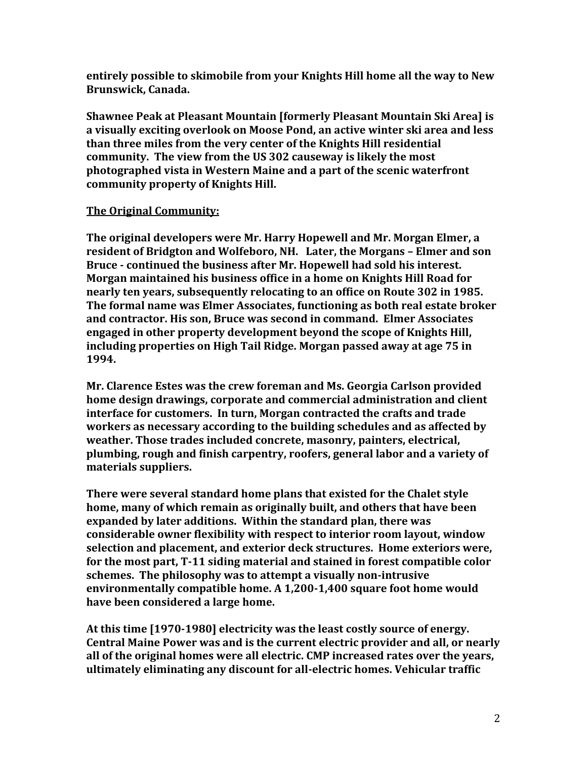**entirely possible to skimobile from your Knights Hill home all the way to New Brunswick, Canada.**

**Shawnee Peak at Pleasant Mountain [formerly Pleasant Mountain Ski Area] is a visually exciting overlook on Moose Pond, an active winter ski area and less than three miles from the very center of the Knights Hill residential community. The view from the US 302 causeway is likely the most photographed vista in Western Maine and a part of the scenic waterfront community property of Knights Hill.**

#### **The Original Community:**

**The original developers were Mr. Harry Hopewell and Mr. Morgan Elmer, a resident of Bridgton and Wolfeboro, NH. Later, the Morgans – Elmer and son Bruce - continued the business after Mr. Hopewell had sold his interest. Morgan maintained his business office in a home on Knights Hill Road for nearly ten years, subsequently relocating to an office on Route 302 in 1985. The formal name was Elmer Associates, functioning as both real estate broker and contractor. His son, Bruce was second in command. Elmer Associates engaged in other property development beyond the scope of Knights Hill, including properties on High Tail Ridge. Morgan passed away at age 75 in 1994.**

**Mr. Clarence Estes was the crew foreman and Ms. Georgia Carlson provided home design drawings, corporate and commercial administration and client interface for customers. In turn, Morgan contracted the crafts and trade workers as necessary according to the building schedules and as affected by weather. Those trades included concrete, masonry, painters, electrical, plumbing, rough and finish carpentry, roofers, general labor and a variety of materials suppliers.**

**There were several standard home plans that existed for the Chalet style home, many of which remain as originally built, and others that have been expanded by later additions. Within the standard plan, there was considerable owner flexibility with respect to interior room layout, window selection and placement, and exterior deck structures. Home exteriors were, for the most part, T-11 siding material and stained in forest compatible color schemes. The philosophy was to attempt a visually non-intrusive environmentally compatible home. A 1,200-1,400 square foot home would have been considered a large home.**

**At this time [1970-1980] electricity was the least costly source of energy. Central Maine Power was and is the current electric provider and all, or nearly all of the original homes were all electric. CMP increased rates over the years, ultimately eliminating any discount for all-electric homes. Vehicular traffic**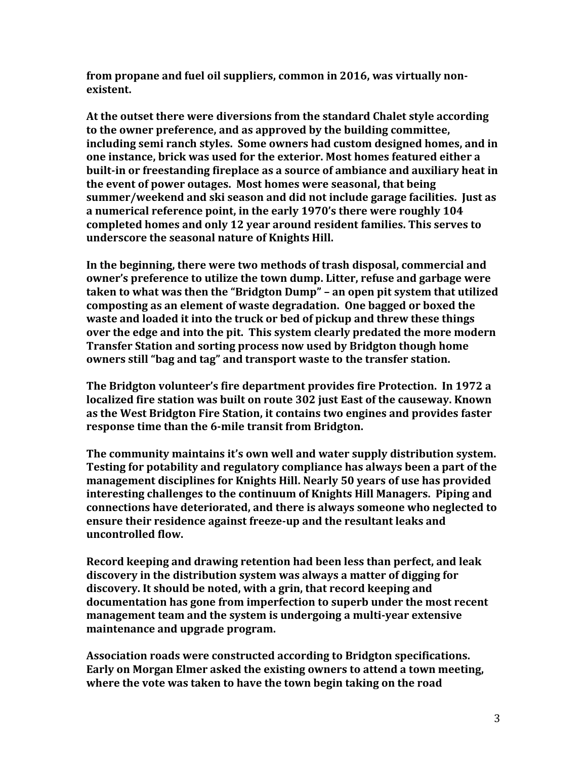**from propane and fuel oil suppliers, common in 2016, was virtually nonexistent.**

**At the outset there were diversions from the standard Chalet style according to the owner preference, and as approved by the building committee, including semi ranch styles. Some owners had custom designed homes, and in one instance, brick was used for the exterior. Most homes featured either a built-in or freestanding fireplace as a source of ambiance and auxiliary heat in the event of power outages. Most homes were seasonal, that being summer/weekend and ski season and did not include garage facilities. Just as a numerical reference point, in the early 1970's there were roughly 104 completed homes and only 12 year around resident families. This serves to underscore the seasonal nature of Knights Hill.**

**In the beginning, there were two methods of trash disposal, commercial and owner's preference to utilize the town dump. Litter, refuse and garbage were taken to what was then the "Bridgton Dump" – an open pit system that utilized composting as an element of waste degradation. One bagged or boxed the waste and loaded it into the truck or bed of pickup and threw these things over the edge and into the pit. This system clearly predated the more modern Transfer Station and sorting process now used by Bridgton though home owners still "bag and tag" and transport waste to the transfer station.** 

**The Bridgton volunteer's fire department provides fire Protection. In 1972 a localized fire station was built on route 302 just East of the causeway. Known as the West Bridgton Fire Station, it contains two engines and provides faster response time than the 6-mile transit from Bridgton.**

**The community maintains it's own well and water supply distribution system. Testing for potability and regulatory compliance has always been a part of the management disciplines for Knights Hill. Nearly 50 years of use has provided interesting challenges to the continuum of Knights Hill Managers. Piping and connections have deteriorated, and there is always someone who neglected to ensure their residence against freeze-up and the resultant leaks and uncontrolled flow.** 

**Record keeping and drawing retention had been less than perfect, and leak discovery in the distribution system was always a matter of digging for discovery. It should be noted, with a grin, that record keeping and documentation has gone from imperfection to superb under the most recent management team and the system is undergoing a multi-year extensive maintenance and upgrade program.**

**Association roads were constructed according to Bridgton specifications. Early on Morgan Elmer asked the existing owners to attend a town meeting, where the vote was taken to have the town begin taking on the road**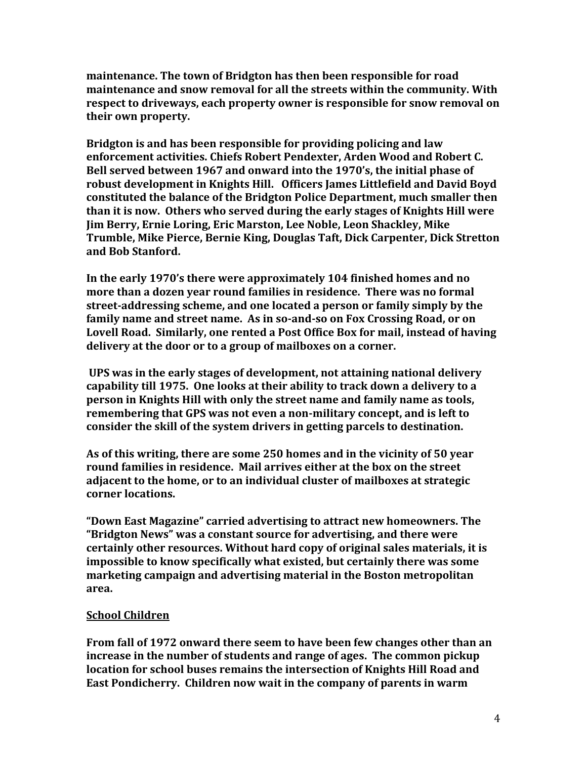**maintenance. The town of Bridgton has then been responsible for road maintenance and snow removal for all the streets within the community. With respect to driveways, each property owner is responsible for snow removal on their own property.**

**Bridgton is and has been responsible for providing policing and law enforcement activities. Chiefs Robert Pendexter, Arden Wood and Robert C. Bell served between 1967 and onward into the 1970's, the initial phase of robust development in Knights Hill. Officers James Littlefield and David Boyd constituted the balance of the Bridgton Police Department, much smaller then than it is now. Others who served during the early stages of Knights Hill were Jim Berry, Ernie Loring, Eric Marston, Lee Noble, Leon Shackley, Mike Trumble, Mike Pierce, Bernie King, Douglas Taft, Dick Carpenter, Dick Stretton and Bob Stanford.** 

**In the early 1970's there were approximately 104 finished homes and no more than a dozen year round families in residence. There was no formal street-addressing scheme, and one located a person or family simply by the family name and street name. As in so-and-so on Fox Crossing Road, or on Lovell Road. Similarly, one rented a Post Office Box for mail, instead of having delivery at the door or to a group of mailboxes on a corner.** 

**UPS was in the early stages of development, not attaining national delivery capability till 1975. One looks at their ability to track down a delivery to a person in Knights Hill with only the street name and family name as tools, remembering that GPS was not even a non-military concept, and is left to consider the skill of the system drivers in getting parcels to destination.**

**As of this writing, there are some 250 homes and in the vicinity of 50 year round families in residence. Mail arrives either at the box on the street adjacent to the home, or to an individual cluster of mailboxes at strategic corner locations.**

**"Down East Magazine" carried advertising to attract new homeowners. The "Bridgton News" was a constant source for advertising, and there were certainly other resources. Without hard copy of original sales materials, it is impossible to know specifically what existed, but certainly there was some marketing campaign and advertising material in the Boston metropolitan area.**

# **School Children**

**From fall of 1972 onward there seem to have been few changes other than an increase in the number of students and range of ages. The common pickup location for school buses remains the intersection of Knights Hill Road and East Pondicherry. Children now wait in the company of parents in warm**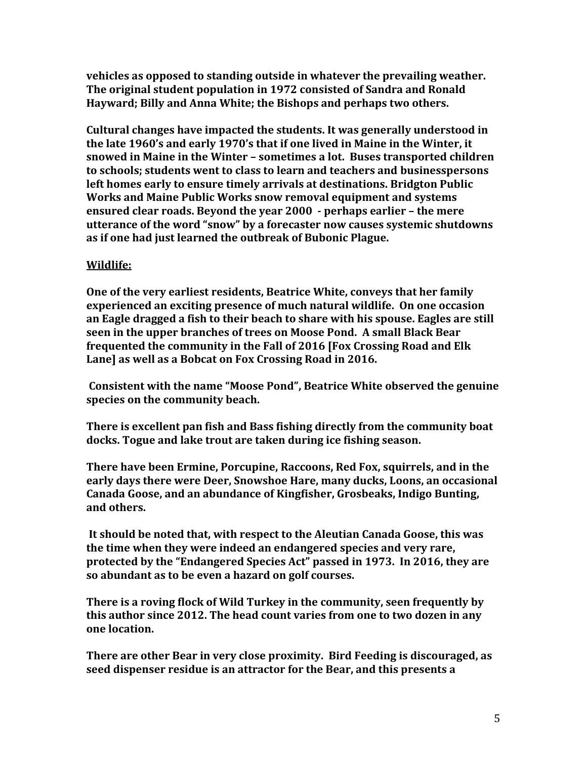**vehicles as opposed to standing outside in whatever the prevailing weather. The original student population in 1972 consisted of Sandra and Ronald Hayward; Billy and Anna White; the Bishops and perhaps two others.** 

**Cultural changes have impacted the students. It was generally understood in the late 1960's and early 1970's that if one lived in Maine in the Winter, it snowed in Maine in the Winter – sometimes a lot. Buses transported children to schools; students went to class to learn and teachers and businesspersons left homes early to ensure timely arrivals at destinations. Bridgton Public Works and Maine Public Works snow removal equipment and systems ensured clear roads. Beyond the year 2000 - perhaps earlier – the mere utterance of the word "snow" by a forecaster now causes systemic shutdowns as if one had just learned the outbreak of Bubonic Plague.** 

# **Wildlife:**

**One of the very earliest residents, Beatrice White, conveys that her family experienced an exciting presence of much natural wildlife. On one occasion an Eagle dragged a fish to their beach to share with his spouse. Eagles are still seen in the upper branches of trees on Moose Pond. A small Black Bear frequented the community in the Fall of 2016 [Fox Crossing Road and Elk Lane] as well as a Bobcat on Fox Crossing Road in 2016.**

**Consistent with the name "Moose Pond", Beatrice White observed the genuine species on the community beach.** 

**There is excellent pan fish and Bass fishing directly from the community boat docks. Togue and lake trout are taken during ice fishing season.**

**There have been Ermine, Porcupine, Raccoons, Red Fox, squirrels, and in the early days there were Deer, Snowshoe Hare, many ducks, Loons, an occasional Canada Goose, and an abundance of Kingfisher, Grosbeaks, Indigo Bunting, and others.** 

**It should be noted that, with respect to the Aleutian Canada Goose, this was the time when they were indeed an endangered species and very rare, protected by the "Endangered Species Act" passed in 1973. In 2016, they are so abundant as to be even a hazard on golf courses.** 

**There is a roving flock of Wild Turkey in the community, seen frequently by this author since 2012. The head count varies from one to two dozen in any one location.**

**There are other Bear in very close proximity. Bird Feeding is discouraged, as seed dispenser residue is an attractor for the Bear, and this presents a**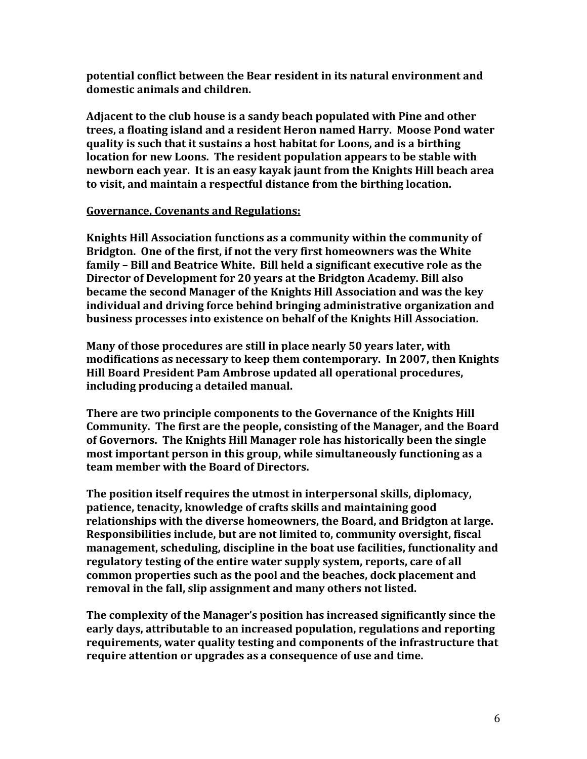**potential conflict between the Bear resident in its natural environment and domestic animals and children.** 

**Adjacent to the club house is a sandy beach populated with Pine and other trees, a floating island and a resident Heron named Harry. Moose Pond water quality is such that it sustains a host habitat for Loons, and is a birthing location for new Loons. The resident population appears to be stable with newborn each year. It is an easy kayak jaunt from the Knights Hill beach area to visit, and maintain a respectful distance from the birthing location.** 

#### **Governance, Covenants and Regulations:**

**Knights Hill Association functions as a community within the community of Bridgton. One of the first, if not the very first homeowners was the White family – Bill and Beatrice White. Bill held a significant executive role as the Director of Development for 20 years at the Bridgton Academy. Bill also became the second Manager of the Knights Hill Association and was the key individual and driving force behind bringing administrative organization and business processes into existence on behalf of the Knights Hill Association.** 

**Many of those procedures are still in place nearly 50 years later, with modifications as necessary to keep them contemporary. In 2007, then Knights Hill Board President Pam Ambrose updated all operational procedures, including producing a detailed manual.**

**There are two principle components to the Governance of the Knights Hill Community. The first are the people, consisting of the Manager, and the Board of Governors. The Knights Hill Manager role has historically been the single most important person in this group, while simultaneously functioning as a team member with the Board of Directors.**

**The position itself requires the utmost in interpersonal skills, diplomacy, patience, tenacity, knowledge of crafts skills and maintaining good relationships with the diverse homeowners, the Board, and Bridgton at large. Responsibilities include, but are not limited to, community oversight, fiscal management, scheduling, discipline in the boat use facilities, functionality and regulatory testing of the entire water supply system, reports, care of all common properties such as the pool and the beaches, dock placement and removal in the fall, slip assignment and many others not listed.**

**The complexity of the Manager's position has increased significantly since the early days, attributable to an increased population, regulations and reporting requirements, water quality testing and components of the infrastructure that require attention or upgrades as a consequence of use and time.**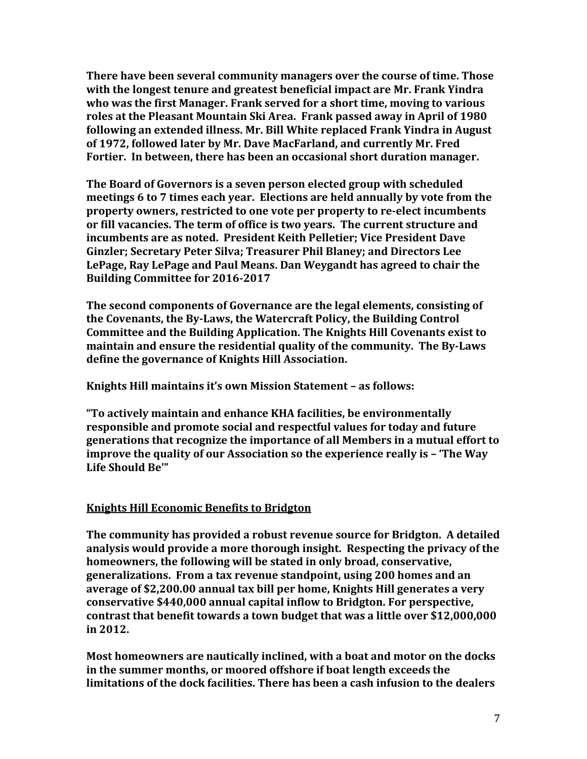**There have been several community managers over the course of time. Those with the longest tenure and greatest beneficial impact are Mr. Frank Yindra who was the first Manager. Frank served for a short time, moving to various roles at the Pleasant Mountain Ski Area. Frank passed away in April of 1980 following an extended illness. Mr. Bill White replaced Frank Yindra in August of 1972, followed later by Mr. Dave MacFarland, and currently Mr. Fred Fortier. In between, there has been an occasional short duration manager.**

**The Board of Governors is a seven person elected group with scheduled meetings 6 to 7 times each year. Elections are held annually by vote from the property owners, restricted to one vote per property to re-elect incumbents or fill vacancies. The term of office is two years. The current structure and incumbents are as noted. President Keith Pelletier; Vice President Dave Ginzler; Secretary Peter Silva; Treasurer Phil Blaney; and Directors Lee LePage, Ray LePage and Paul Means. Dan Weygandt has agreed to chair the Building Committee for 2016-2017**

**The second components of Governance are the legal elements, consisting of the Covenants, the By-Laws, the Watercraft Policy, the Building Control Committee and the Building Application. The Knights Hill Covenants exist to maintain and ensure the residential quality of the community. The By-Laws define the governance of Knights Hill Association.**

**Knights Hill maintains it's own Mission Statement – as follows:**

**"To actively maintain and enhance KHA facilities, be environmentally responsible and promote social and respectful values for today and future generations that recognize the importance of all Members in a mutual effort to improve the quality of our Association so the experience really is - 'The Way Life Should Be'"** 

# **Knights Hill Economic Benefits to Bridgton**

**The community has provided a robust revenue source for Bridgton. A detailed analysis would provide a more thorough insight. Respecting the privacy of the homeowners, the following will be stated in only broad, conservative, generalizations. From a tax revenue standpoint, using 200 homes and an average of \$2,200.00 annual tax bill per home, Knights Hill generates a very conservative \$440,000 annual capital inflow to Bridgton. For perspective, contrast that benefit towards a town budget that was a little over \$12,000,000 in 2012.**

**Most homeowners are nautically inclined, with a boat and motor on the docks in the summer months, or moored offshore if boat length exceeds the limitations of the dock facilities. There has been a cash infusion to the dealers**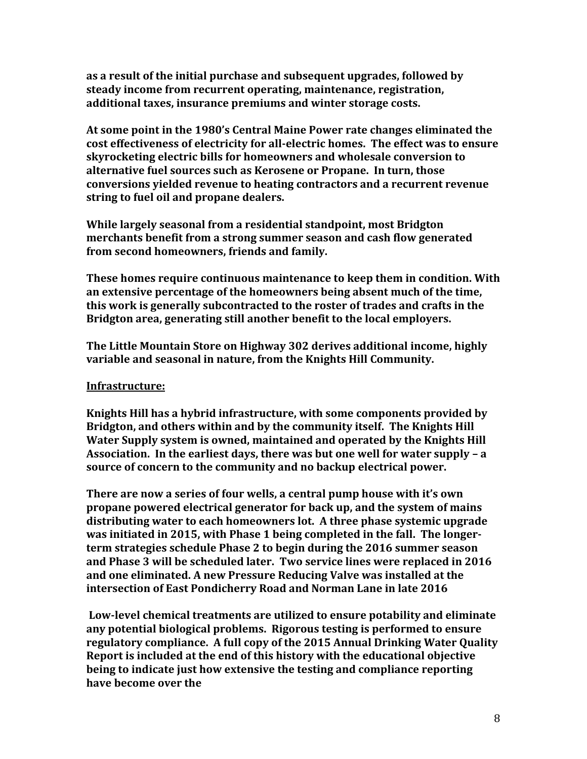**as a result of the initial purchase and subsequent upgrades, followed by steady income from recurrent operating, maintenance, registration, additional taxes, insurance premiums and winter storage costs.** 

**At some point in the 1980's Central Maine Power rate changes eliminated the cost effectiveness of electricity for all-electric homes. The effect was to ensure skyrocketing electric bills for homeowners and wholesale conversion to alternative fuel sources such as Kerosene or Propane. In turn, those conversions yielded revenue to heating contractors and a recurrent revenue string to fuel oil and propane dealers.** 

**While largely seasonal from a residential standpoint, most Bridgton merchants benefit from a strong summer season and cash flow generated from second homeowners, friends and family.** 

**These homes require continuous maintenance to keep them in condition. With an extensive percentage of the homeowners being absent much of the time, this work is generally subcontracted to the roster of trades and crafts in the Bridgton area, generating still another benefit to the local employers.**

**The Little Mountain Store on Highway 302 derives additional income, highly variable and seasonal in nature, from the Knights Hill Community.**

# **Infrastructure:**

**Knights Hill has a hybrid infrastructure, with some components provided by Bridgton, and others within and by the community itself. The Knights Hill Water Supply system is owned, maintained and operated by the Knights Hill Association. In the earliest days, there was but one well for water supply – a source of concern to the community and no backup electrical power.**

**There are now a series of four wells, a central pump house with it's own propane powered electrical generator for back up, and the system of mains distributing water to each homeowners lot. A three phase systemic upgrade was initiated in 2015, with Phase 1 being completed in the fall. The longerterm strategies schedule Phase 2 to begin during the 2016 summer season and Phase 3 will be scheduled later. Two service lines were replaced in 2016 and one eliminated. A new Pressure Reducing Valve was installed at the intersection of East Pondicherry Road and Norman Lane in late 2016**

**Low-level chemical treatments are utilized to ensure potability and eliminate any potential biological problems. Rigorous testing is performed to ensure regulatory compliance. A full copy of the 2015 Annual Drinking Water Quality Report is included at the end of this history with the educational objective being to indicate just how extensive the testing and compliance reporting have become over the**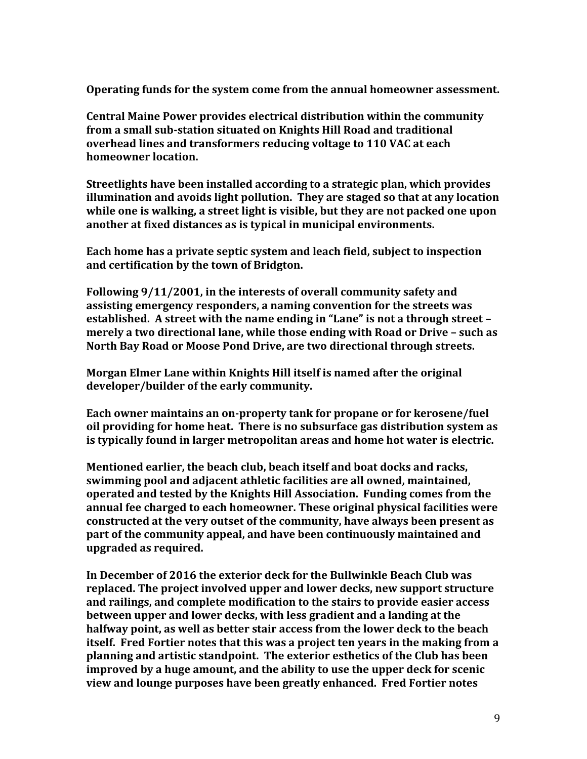**Operating funds for the system come from the annual homeowner assessment.** 

**Central Maine Power provides electrical distribution within the community from a small sub-station situated on Knights Hill Road and traditional overhead lines and transformers reducing voltage to 110 VAC at each homeowner location.** 

**Streetlights have been installed according to a strategic plan, which provides illumination and avoids light pollution. They are staged so that at any location while one is walking, a street light is visible, but they are not packed one upon another at fixed distances as is typical in municipal environments.** 

**Each home has a private septic system and leach field, subject to inspection and certification by the town of Bridgton.**

**Following 9/11/2001, in the interests of overall community safety and assisting emergency responders, a naming convention for the streets was established. A street with the name ending in "Lane" is not a through street – merely a two directional lane, while those ending with Road or Drive – such as North Bay Road or Moose Pond Drive, are two directional through streets.**

**Morgan Elmer Lane within Knights Hill itself is named after the original developer/builder of the early community.**

**Each owner maintains an on-property tank for propane or for kerosene/fuel oil providing for home heat. There is no subsurface gas distribution system as is typically found in larger metropolitan areas and home hot water is electric.**

**Mentioned earlier, the beach club, beach itself and boat docks and racks, swimming pool and adjacent athletic facilities are all owned, maintained, operated and tested by the Knights Hill Association. Funding comes from the annual fee charged to each homeowner. These original physical facilities were constructed at the very outset of the community, have always been present as part of the community appeal, and have been continuously maintained and upgraded as required.** 

**In December of 2016 the exterior deck for the Bullwinkle Beach Club was replaced. The project involved upper and lower decks, new support structure and railings, and complete modification to the stairs to provide easier access between upper and lower decks, with less gradient and a landing at the halfway point, as well as better stair access from the lower deck to the beach itself. Fred Fortier notes that this was a project ten years in the making from a planning and artistic standpoint. The exterior esthetics of the Club has been improved by a huge amount, and the ability to use the upper deck for scenic view and lounge purposes have been greatly enhanced. Fred Fortier notes**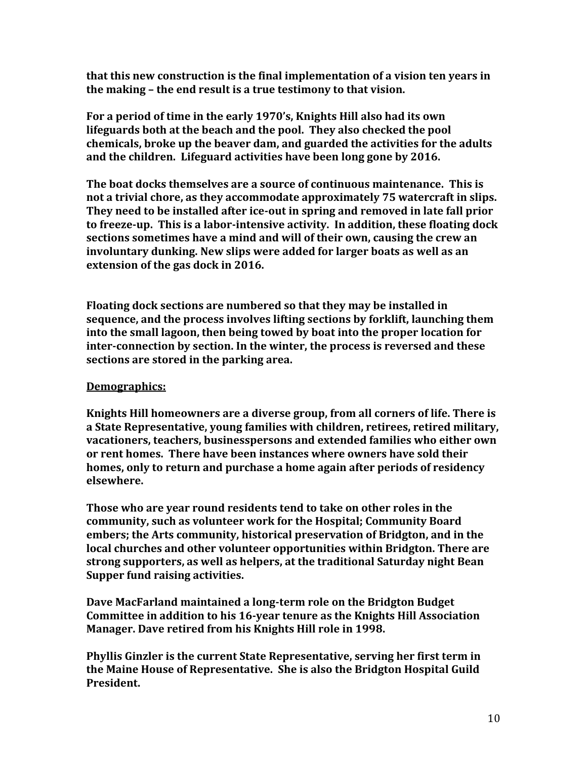**that this new construction is the final implementation of a vision ten years in the making – the end result is a true testimony to that vision.** 

**For a period of time in the early 1970's, Knights Hill also had its own lifeguards both at the beach and the pool. They also checked the pool chemicals, broke up the beaver dam, and guarded the activities for the adults and the children. Lifeguard activities have been long gone by 2016.**

**The boat docks themselves are a source of continuous maintenance. This is not a trivial chore, as they accommodate approximately 75 watercraft in slips. They need to be installed after ice-out in spring and removed in late fall prior to freeze-up. This is a labor-intensive activity. In addition, these floating dock sections sometimes have a mind and will of their own, causing the crew an involuntary dunking. New slips were added for larger boats as well as an extension of the gas dock in 2016.**

**Floating dock sections are numbered so that they may be installed in sequence, and the process involves lifting sections by forklift, launching them into the small lagoon, then being towed by boat into the proper location for inter-connection by section. In the winter, the process is reversed and these sections are stored in the parking area.** 

# **Demographics:**

**Knights Hill homeowners are a diverse group, from all corners of life. There is a State Representative, young families with children, retirees, retired military, vacationers, teachers, businesspersons and extended families who either own or rent homes. There have been instances where owners have sold their homes, only to return and purchase a home again after periods of residency elsewhere.**

**Those who are year round residents tend to take on other roles in the community, such as volunteer work for the Hospital; Community Board embers; the Arts community, historical preservation of Bridgton, and in the local churches and other volunteer opportunities within Bridgton. There are strong supporters, as well as helpers, at the traditional Saturday night Bean Supper fund raising activities.** 

**Dave MacFarland maintained a long-term role on the Bridgton Budget Committee in addition to his 16-year tenure as the Knights Hill Association Manager. Dave retired from his Knights Hill role in 1998.**

**Phyllis Ginzler is the current State Representative, serving her first term in the Maine House of Representative. She is also the Bridgton Hospital Guild President.**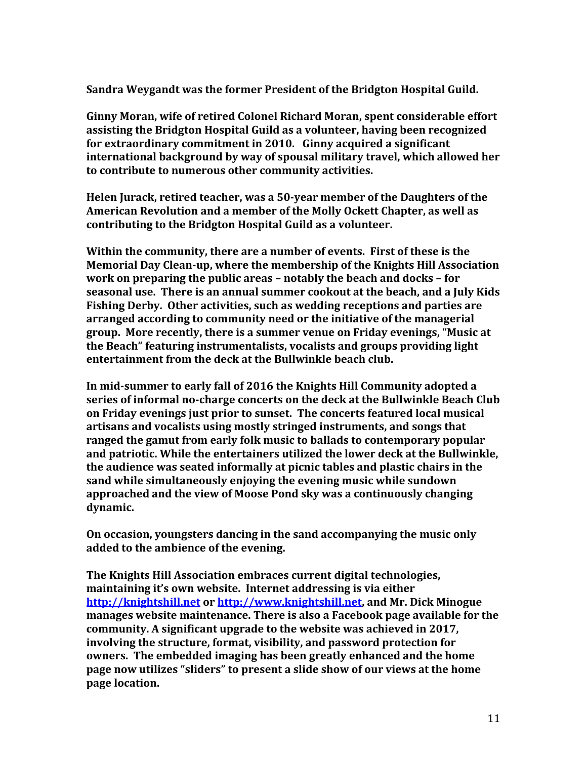**Sandra Weygandt was the former President of the Bridgton Hospital Guild.**

**Ginny Moran, wife of retired Colonel Richard Moran, spent considerable effort assisting the Bridgton Hospital Guild as a volunteer, having been recognized for extraordinary commitment in 2010. Ginny acquired a significant international background by way of spousal military travel, which allowed her to contribute to numerous other community activities.**

**Helen Jurack, retired teacher, was a 50-year member of the Daughters of the American Revolution and a member of the Molly Ockett Chapter, as well as contributing to the Bridgton Hospital Guild as a volunteer.**

**Within the community, there are a number of events. First of these is the Memorial Day Clean-up, where the membership of the Knights Hill Association work on preparing the public areas – notably the beach and docks – for seasonal use. There is an annual summer cookout at the beach, and a July Kids Fishing Derby. Other activities, such as wedding receptions and parties are arranged according to community need or the initiative of the managerial group. More recently, there is a summer venue on Friday evenings, "Music at the Beach" featuring instrumentalists, vocalists and groups providing light entertainment from the deck at the Bullwinkle beach club.**

**In mid-summer to early fall of 2016 the Knights Hill Community adopted a series of informal no-charge concerts on the deck at the Bullwinkle Beach Club on Friday evenings just prior to sunset. The concerts featured local musical artisans and vocalists using mostly stringed instruments, and songs that ranged the gamut from early folk music to ballads to contemporary popular and patriotic. While the entertainers utilized the lower deck at the Bullwinkle, the audience was seated informally at picnic tables and plastic chairs in the sand while simultaneously enjoying the evening music while sundown approached and the view of Moose Pond sky was a continuously changing dynamic.**

**On occasion, youngsters dancing in the sand accompanying the music only added to the ambience of the evening.**

**The Knights Hill Association embraces current digital technologies, maintaining it's own website. Internet addressing is via either [http://knightshill.net](http://knightshill.net/) o[r http://www.knightshill.net,](http://www.knightshill.net/) and Mr. Dick Minogue manages website maintenance. There is also a Facebook page available for the community. A significant upgrade to the website was achieved in 2017, involving the structure, format, visibility, and password protection for owners. The embedded imaging has been greatly enhanced and the home page now utilizes "sliders" to present a slide show of our views at the home page location.**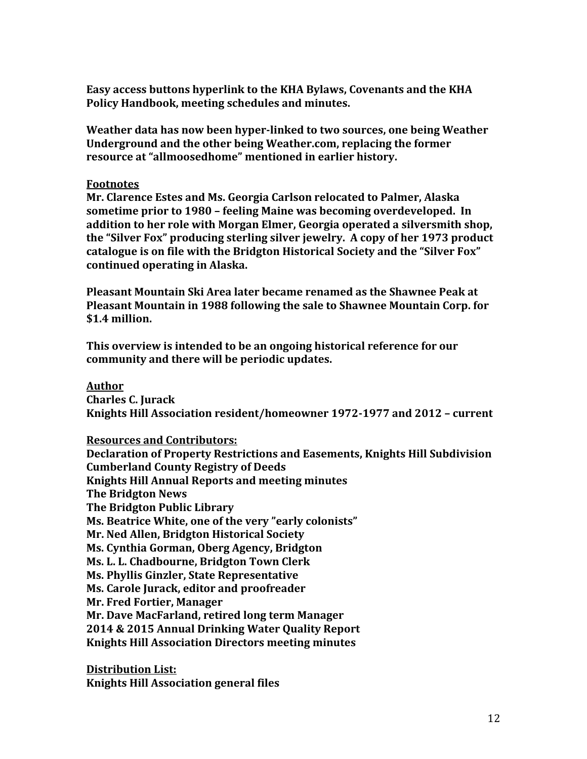**Easy access buttons hyperlink to the KHA Bylaws, Covenants and the KHA Policy Handbook, meeting schedules and minutes.**

**Weather data has now been hyper-linked to two sources, one being Weather Underground and the other being Weather.com, replacing the former resource at "allmoosedhome" mentioned in earlier history.**

#### **Footnotes**

**Mr. Clarence Estes and Ms. Georgia Carlson relocated to Palmer, Alaska sometime prior to 1980 – feeling Maine was becoming overdeveloped. In addition to her role with Morgan Elmer, Georgia operated a silversmith shop, the "Silver Fox" producing sterling silver jewelry. A copy of her 1973 product catalogue is on file with the Bridgton Historical Society and the "Silver Fox" continued operating in Alaska.**

**Pleasant Mountain Ski Area later became renamed as the Shawnee Peak at Pleasant Mountain in 1988 following the sale to Shawnee Mountain Corp. for \$1.4 million.**

**This overview is intended to be an ongoing historical reference for our community and there will be periodic updates.**

# **Author**

**Charles C. Jurack Knights Hill Association resident/homeowner 1972-1977 and 2012 – current**

# **Resources and Contributors:**

**Declaration of Property Restrictions and Easements, Knights Hill Subdivision Cumberland County Registry of Deeds Knights Hill Annual Reports and meeting minutes The Bridgton News The Bridgton Public Library Ms. Beatrice White, one of the very "early colonists" Mr. Ned Allen, Bridgton Historical Society Ms. Cynthia Gorman, Oberg Agency, Bridgton Ms. L. L. Chadbourne, Bridgton Town Clerk Ms. Phyllis Ginzler, State Representative Ms. Carole Jurack, editor and proofreader Mr. Fred Fortier, Manager Mr. Dave MacFarland, retired long term Manager 2014 & 2015 Annual Drinking Water Quality Report Knights Hill Association Directors meeting minutes**

**Distribution List: Knights Hill Association general files**